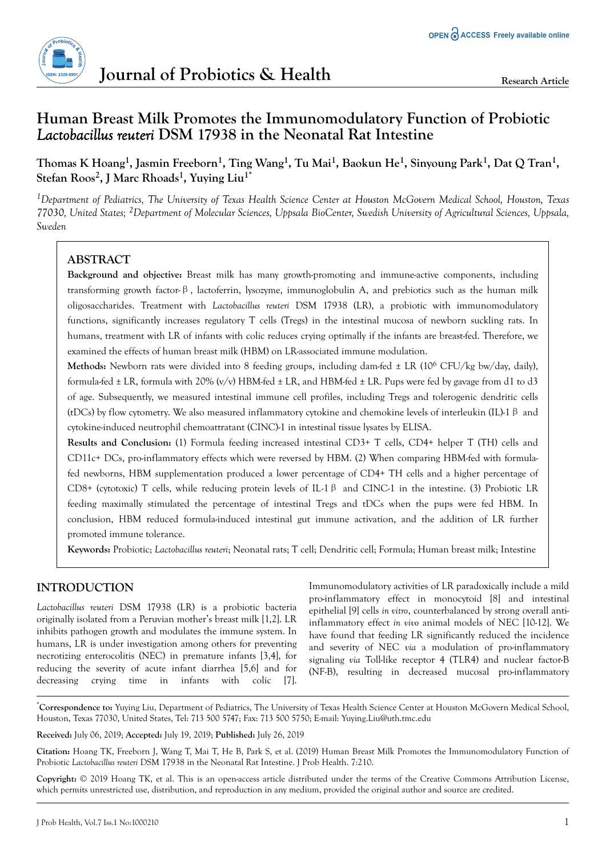

# **Human Breast Milk Promotes the Immunomodulatory Function of Probiotic** *Lactobacillus reuteri* **DSM 17938 in the Neonatal Rat Intestine**

## **Thomas K Hoang<sup>1</sup> , Jasmin Freeborn<sup>1</sup> , Ting Wang<sup>1</sup> , Tu Mai<sup>1</sup> , Baokun He<sup>1</sup> , Sinyoung Park<sup>1</sup> , Dat Q Tran<sup>1</sup> , Stefan Roos<sup>2</sup> , J Marc Rhoads<sup>1</sup> , Yuying Liu1\***

*<sup>1</sup>Department of Pediatrics, The University of Texas Health Science Center at Houston McGovern Medical School, Houston, Texas 77030, United States; 2Department of Molecular Sciences, Uppsala BioCenter, Swedish University of Agricultural Sciences, Uppsala, Sweden*

## **ABSTRACT**

**Background and objective:** Breast milk has many growth-promoting and immune-active components, including transforming growth factor-β, lactoferrin, lysozyme, immunoglobulin A, and prebiotics such as the human milk oligosaccharides. Treatment with *Lactobacillus reuteri* DSM 17938 (LR), a probiotic with immunomodulatory functions, significantly increases regulatory T cells (Tregs) in the intestinal mucosa of newborn suckling rats. In humans, treatment with LR of infants with colic reduces crying optimally if the infants are breast-fed. Therefore, we examined the effects of human breast milk (HBM) on LR-associated immune modulation.

Methods: Newborn rats were divided into 8 feeding groups, including dam-fed  $\pm$  LR (10<sup>6</sup> CFU/kg bw/day, daily), formula-fed  $\pm$  LR, formula with 20% (v/v) HBM-fed  $\pm$  LR, and HBM-fed  $\pm$  LR. Pups were fed by gavage from d1 to d3 of age. Subsequently, we measured intestinal immune cell profiles, including Tregs and tolerogenic dendritic cells (tDCs) by flow cytometry. We also measured inflammatory cytokine and chemokine levels of interleukin (IL)-1β and cytokine-induced neutrophil chemoattratant (CINC)-1 in intestinal tissue lysates by ELISA.

**Results and Conclusion:** (1) Formula feeding increased intestinal CD3+ T cells, CD4+ helper T (TH) cells and CD11c+ DCs, pro-inflammatory effects which were reversed by HBM. (2) When comparing HBM-fed with formulafed newborns, HBM supplementation produced a lower percentage of CD4+ TH cells and a higher percentage of CD8+ (cytotoxic) T cells, while reducing protein levels of IL-1β and CINC-1 in the intestine. (3) Probiotic LR feeding maximally stimulated the percentage of intestinal Tregs and tDCs when the pups were fed HBM. In conclusion, HBM reduced formula-induced intestinal gut immune activation, and the addition of LR further promoted immune tolerance.

**Keywords:** Probiotic; *Lactobacillus reuteri*; Neonatal rats; T cell; Dendritic cell; Formula; Human breast milk; Intestine

## **INTRODUCTION**

*Lactobacillus reuteri* DSM 17938 (LR) is a probiotic bacteria originally isolated from a Peruvian mother's breast milk [1,2]. LR inhibits pathogen growth and modulates the immune system. In humans, LR is under investigation among others for preventing necrotizing enterocolitis (NEC) in premature infants [3,4], for reducing the severity of acute infant diarrhea [5,6] and for decreasing crying time in infants with colic [7].

Immunomodulatory activities of LR paradoxically include a mild pro-inflammatory effect in monocytoid [8] and intestinal epithelial [9] cells *in vitro*, counterbalanced by strong overall antiinflammatory effect *in vivo* animal models of NEC [10-12]. We have found that feeding LR significantly reduced the incidence and severity of NEC *via* a modulation of pro-inflammatory signaling *via* Toll-like receptor 4 (TLR4) and nuclear factor-B (NF-B), resulting in decreased mucosal pro-inflammatory

\***Correspondence to:** Yuying Liu, Department of Pediatrics, The University of Texas Health Science Center at Houston McGovern Medical School, Houston, Texas 77030, United States, Tel: 713 500 5747; Fax: 713 500 5750; E-mail: Yuying.Liu@uth.tmc.edu

**Received:** July 06, 2019; **Accepted:** July 19, 2019; **Published:** July 26, 2019

**Citation:** Hoang TK, Freeborn J, Wang T, Mai T, He B, Park S, et al. (2019) Human Breast Milk Promotes the Immunomodulatory Function of Probiotic *Lactobacillus reuteri* DSM 17938 in the Neonatal Rat Intestine. J Prob Health. 7:210.

**Copyright:** © 2019 Hoang TK, et al. This is an open-access article distributed under the terms of the Creative Commons Attribution License, which permits unrestricted use, distribution, and reproduction in any medium, provided the original author and source are credited.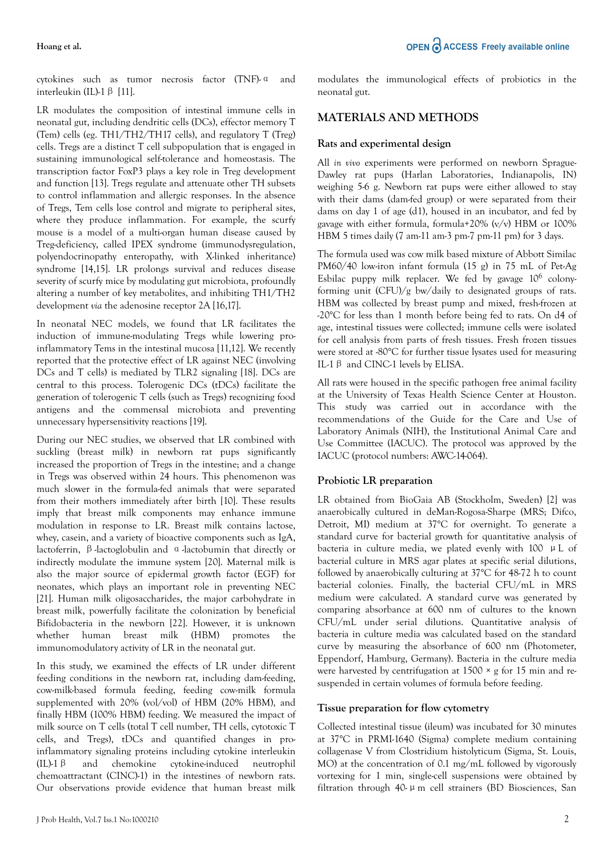#### **Hoang et al.**

cytokines such as tumor necrosis factor (TNF)-α and interleukin (IL)-1β [11].

LR modulates the composition of intestinal immune cells in neonatal gut, including dendritic cells (DCs), effector memory T (Tem) cells (eg. TH1/TH2/TH17 cells), and regulatory T (Treg) cells. Tregs are a distinct T cell subpopulation that is engaged in sustaining immunological self-tolerance and homeostasis. The transcription factor FoxP3 plays a key role in Treg development and function [13]. Tregs regulate and attenuate other TH subsets to control inflammation and allergic responses. In the absence of Tregs, Tem cells lose control and migrate to peripheral sites, where they produce inflammation. For example, the scurfy mouse is a model of a multi-organ human disease caused by Treg-deficiency, called IPEX syndrome (immunodysregulation, polyendocrinopathy enteropathy, with X-linked inheritance) syndrome [14,15]. LR prolongs survival and reduces disease severity of scurfy mice by modulating gut microbiota, profoundly altering a number of key metabolites, and inhibiting TH1/TH2 development *via* the adenosine receptor 2A [16,17].

In neonatal NEC models, we found that LR facilitates the induction of immune-modulating Tregs while lowering proinflammatory Tems in the intestinal mucosa [11,12]. We recently reported that the protective effect of LR against NEC (involving DCs and T cells) is mediated by TLR2 signaling [18]. DCs are central to this process. Tolerogenic DCs (tDCs) facilitate the generation of tolerogenic T cells (such as Tregs) recognizing food antigens and the commensal microbiota and preventing unnecessary hypersensitivity reactions [19].

During our NEC studies, we observed that LR combined with suckling (breast milk) in newborn rat pups significantly increased the proportion of Tregs in the intestine; and a change in Tregs was observed within 24 hours. This phenomenon was much slower in the formula-fed animals that were separated from their mothers immediately after birth [10]. These results imply that breast milk components may enhance immune modulation in response to LR. Breast milk contains lactose, whey, casein, and a variety of bioactive components such as IgA, lactoferrin, β-lactoglobulin and α-lactobumin that directly or indirectly modulate the immune system [20]. Maternal milk is also the major source of epidermal growth factor (EGF) for neonates, which plays an important role in preventing NEC [21]. Human milk oligosaccharides, the major carbohydrate in breast milk, powerfully facilitate the colonization by beneficial Bifidobacteria in the newborn [22]. However, it is unknown whether human breast milk (HBM) promotes the immunomodulatory activity of LR in the neonatal gut.

In this study, we examined the effects of LR under different feeding conditions in the newborn rat, including dam-feeding, cow-milk-based formula feeding, feeding cow-milk formula supplemented with 20% (vol/vol) of HBM (20% HBM), and finally HBM (100% HBM) feeding. We measured the impact of milk source on T cells (total T cell number, TH cells, cytotoxic T cells, and Tregs), tDCs and quantified changes in proinflammatory signaling proteins including cytokine interleukin (IL)-1β and chemokine cytokine-induced neutrophil chemoattractant (CINC)-1) in the intestines of newborn rats. Our observations provide evidence that human breast milk

modulates the immunological effects of probiotics in the neonatal gut.

## **MATERIALS AND METHODS**

## **Rats and experimental design**

All *in vivo* experiments were performed on newborn Sprague-Dawley rat pups (Harlan Laboratories, Indianapolis, IN) weighing 5-6 g. Newborn rat pups were either allowed to stay with their dams (dam-fed group) or were separated from their dams on day 1 of age (d1), housed in an incubator, and fed by gavage with either formula, formula+20% (v/v) HBM or 100% HBM 5 times daily (7 am-11 am-3 pm-7 pm-11 pm) for 3 days.

The formula used was cow milk based mixture of Abbott Similac PM60/40 low-iron infant formula (15 g) in 75 mL of Pet-Ag Esbilac puppy milk replacer. We fed by gavage  $10^6$  colonyforming unit (CFU)/g bw/daily to designated groups of rats. HBM was collected by breast pump and mixed, fresh-frozen at -20°C for less than 1 month before being fed to rats. On d4 of age, intestinal tissues were collected; immune cells were isolated for cell analysis from parts of fresh tissues. Fresh frozen tissues were stored at -80°C for further tissue lysates used for measuring IL-1β and CINC-1 levels by ELISA.

All rats were housed in the specific pathogen free animal facility at the University of Texas Health Science Center at Houston. This study was carried out in accordance with the recommendations of the Guide for the Care and Use of Laboratory Animals (NIH), the Institutional Animal Care and Use Committee (IACUC). The protocol was approved by the IACUC (protocol numbers: AWC-14-064).

## **Probiotic LR preparation**

LR obtained from BioGaia AB (Stockholm, Sweden) [2] was anaerobically cultured in deMan-Rogosa-Sharpe (MRS; Difco, Detroit, MI) medium at 37°C for overnight. To generate a standard curve for bacterial growth for quantitative analysis of bacteria in culture media, we plated evenly with 100 μL of bacterial culture in MRS agar plates at specific serial dilutions, followed by anaerobically culturing at 37°C for 48-72 h to count bacterial colonies. Finally, the bacterial CFU/mL in MRS medium were calculated. A standard curve was generated by comparing absorbance at 600 nm of cultures to the known CFU/mL under serial dilutions. Quantitative analysis of bacteria in culture media was calculated based on the standard curve by measuring the absorbance of 600 nm (Photometer, Eppendorf, Hamburg, Germany). Bacteria in the culture media were harvested by centrifugation at  $1500 \times g$  for 15 min and resuspended in certain volumes of formula before feeding.

### **Tissue preparation for flow cytometry**

Collected intestinal tissue (ileum) was incubated for 30 minutes at 37°C in PRMI-1640 (Sigma) complete medium containing collagenase V from Clostridium histolyticum (Sigma, St. Louis, MO) at the concentration of 0.1 mg/mL followed by vigorously vortexing for 1 min, single-cell suspensions were obtained by filtration through 40-μm cell strainers (BD Biosciences, San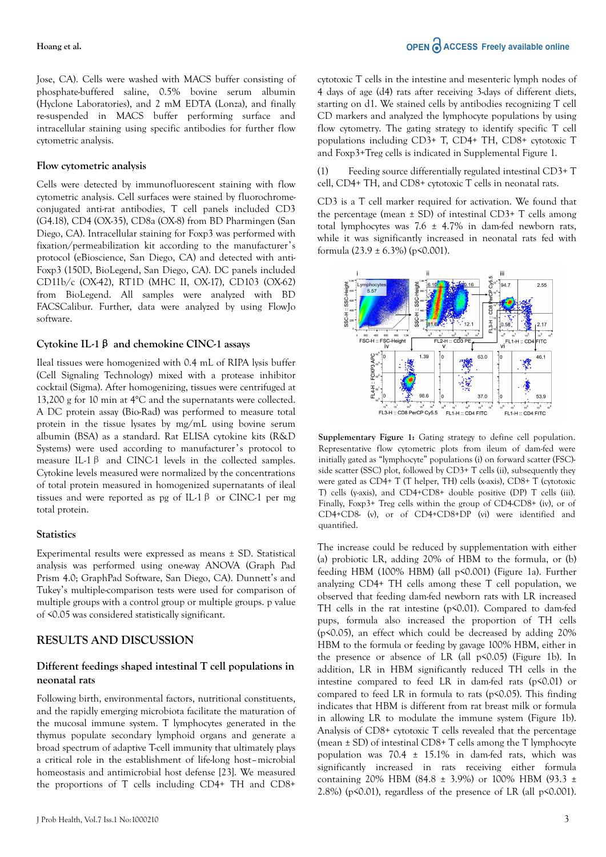Jose, CA). Cells were washed with MACS buffer consisting of phosphate-buffered saline, 0.5% bovine serum albumin (Hyclone Laboratories), and 2 mM EDTA (Lonza), and finally re-suspended in MACS buffer performing surface and intracellular staining using specific antibodies for further flow cytometric analysis.

#### **Flow cytometric analysis**

Cells were detected by immunofluorescent staining with flow cytometric analysis. Cell surfaces were stained by fluorochromeconjugated anti-rat antibodies, T cell panels included CD3 (G4.18), CD4 (OX-35), CD8a (OX-8) from BD Pharmingen (San Diego, CA). Intracellular staining for Foxp3 was performed with fixation/permeabilization kit according to the manufacturer's protocol (eBioscience, San Diego, CA) and detected with anti-Foxp3 (150D, BioLegend, San Diego, CA). DC panels included CD11b/c (OX-42), RT1D (MHC II, OX-17), CD103 (OX-62) from BioLegend. All samples were analyzed with BD FACSCalibur. Further, data were analyzed by using FlowJo software.

#### **Cytokine IL-1**β **and chemokine CINC-1 assays**

Ileal tissues were homogenized with 0.4 mL of RIPA lysis buffer (Cell Signaling Technology) mixed with a protease inhibitor cocktail (Sigma). After homogenizing, tissues were centrifuged at 13,200 g for 10 min at 4°C and the supernatants were collected. A DC protein assay (Bio-Rad) was performed to measure total protein in the tissue lysates by mg/mL using bovine serum albumin (BSA) as a standard. Rat ELISA cytokine kits (R&D Systems) were used according to manufacturer's protocol to measure IL-1β and CINC-1 levels in the collected samples. Cytokine levels measured were normalized by the concentrations of total protein measured in homogenized supernatants of ileal tissues and were reported as pg of IL-1  $\beta$  or CINC-1 per mg total protein.

#### **Statistics**

Experimental results were expressed as means ± SD. Statistical analysis was performed using one-way ANOVA (Graph Pad Prism 4.0; GraphPad Software, San Diego, CA). Dunnett's and Tukey's multiple-comparison tests were used for comparison of multiple groups with a control group or multiple groups. p value of <0.05 was considered statistically significant.

### **RESULTS AND DISCUSSION**

### **Different feedings shaped intestinal T cell populations in neonatal rats**

Following birth, environmental factors, nutritional constituents, and the rapidly emerging microbiota facilitate the maturation of the mucosal immune system. T lymphocytes generated in the thymus populate secondary lymphoid organs and generate a broad spectrum of adaptive T-cell immunity that ultimately plays a critical role in the establishment of life-long host–microbial homeostasis and antimicrobial host defense [23]. We measured the proportions of T cells including CD4+ TH and CD8+

cytotoxic T cells in the intestine and mesenteric lymph nodes of 4 days of age (d4) rats after receiving 3-days of different diets, starting on d1. We stained cells by antibodies recognizing T cell CD markers and analyzed the lymphocyte populations by using flow cytometry. The gating strategy to identify specific T cell populations including CD3+ T, CD4+ TH, CD8+ cytotoxic T and Foxp3+Treg cells is indicated in Supplemental Figure 1.

(1) Feeding source differentially regulated intestinal CD3+ T cell, CD4+ TH, and CD8+ cytotoxic T cells in neonatal rats.

CD3 is a T cell marker required for activation. We found that the percentage (mean  $\pm$  SD) of intestinal CD3+ T cells among total lymphocytes was  $7.6 \pm 4.7\%$  in dam-fed newborn rats, while it was significantly increased in neonatal rats fed with formula  $(23.9 \pm 6.3\%)$  (p<0.001).



**Supplementary Figure 1:** Gating strategy to define cell population. Representative flow cytometric plots from ileum of dam-fed were initially gated as "lymphocyte" populations (i) on forward scatter (FSC) side scatter (SSC) plot, followed by CD3+ T cells (ii), subsequently they were gated as CD4+ T (T helper, TH) cells (x-axis), CD8+ T (cytotoxic T) cells (y-axis), and CD4+CD8+ double positive (DP) T cells (iii). Finally, Foxp3+ Treg cells within the group of CD4-CD8+ (iv), or of CD4+CD8- (v), or of CD4+CD8+DP (vi) were identified and quantified.

The increase could be reduced by supplementation with either (a) probiotic LR, adding 20% of HBM to the formula, or (b) feeding HBM (100% HBM) (all p<0.001) (Figure 1a). Further analyzing CD4+ TH cells among these T cell population, we observed that feeding dam-fed newborn rats with LR increased TH cells in the rat intestine (p<0.01). Compared to dam-fed pups, formula also increased the proportion of TH cells (p<0.05), an effect which could be decreased by adding 20% HBM to the formula or feeding by gavage 100% HBM, either in the presence or absence of LR (all p<0.05) (Figure 1b). In addition, LR in HBM significantly reduced TH cells in the intestine compared to feed LR in dam-fed rats  $(p<0.01)$  or compared to feed LR in formula to rats ( $p \le 0.05$ ). This finding indicates that HBM is different from rat breast milk or formula in allowing LR to modulate the immune system (Figure 1b). Analysis of CD8+ cytotoxic T cells revealed that the percentage (mean  $\pm$  SD) of intestinal CD8+ T cells among the T lymphocyte population was  $70.4 \pm 15.1\%$  in dam-fed rats, which was significantly increased in rats receiving either formula containing 20% HBM (84.8  $\pm$  3.9%) or 100% HBM (93.3  $\pm$ 2.8%) ( $p \le 0.01$ ), regardless of the presence of LR (all  $p \le 0.001$ ).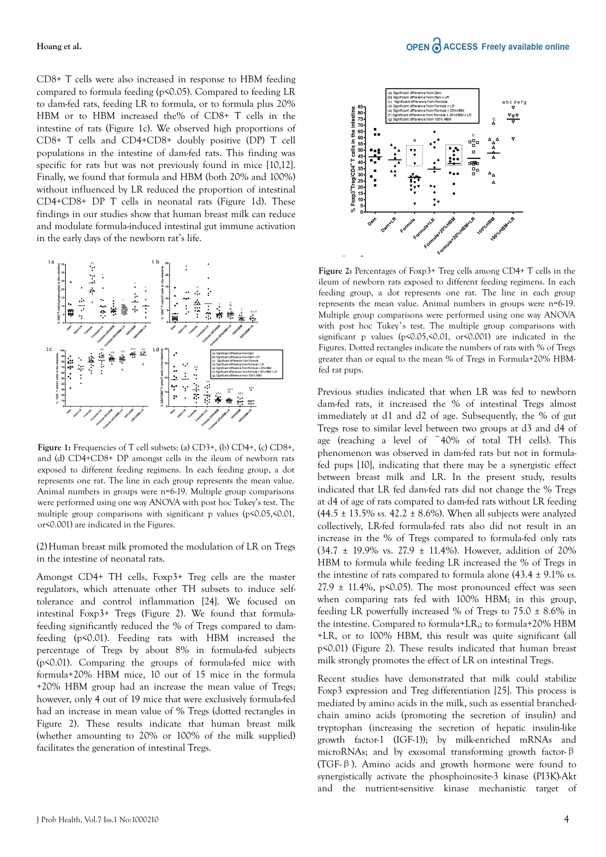CD8+ T cells were also increased in response to HBM feeding compared to formula feeding (p<0.05). Compared to feeding LR to dam-fed rats, feeding LR to formula, or to formula plus 20% HBM or to HBM increased the% of CD8+ T cells in the intestine of rats (Figure 1c). We observed high proportions of CD8+ T cells and CD4+CD8+ doubly positive (DP) T cell populations in the intestine of dam-fed rats. This finding was specific for rats but was not previously found in mice [10,12]. Finally, we found that formula and HBM (both 20% and 100%) without influenced by LR reduced the proportion of intestinal CD4+CD8+ DP T cells in neonatal rats (Figure 1d). These findings in our studies show that human breast milk can reduce and modulate formula-induced intestinal gut immune activation in the early days of the newborn rat's life.



**Figure 1:** Frequencies of T cell subsets: (a) CD3+, (b) CD4+, (c) CD8+, and (d) CD4+CD8+ DP amongst cells in the ileum of newborn rats exposed to different feeding regimens. In each feeding group, a dot represents one rat. The line in each group represents the mean value. Animal numbers in groups were n=6-19. Multiple group comparisons were performed using one way ANOVA with post hoc Tukey's test. The multiple group comparisons with significant p values (p<0.05,<0.01, or<0.001) are indicated in the Figures.

(2)Human breast milk promoted the modulation of LR on Tregs in the intestine of neonatal rats.

Amongst CD4+ TH cells, Foxp3+ Treg cells are the master regulators, which attenuate other TH subsets to induce selftolerance and control inflammation [24]. We focused on intestinal Foxp3+ Tregs (Figure 2). We found that formulafeeding significantly reduced the % of Tregs compared to damfeeding (p<0.01). Feeding rats with HBM increased the percentage of Tregs by about 8% in formula-fed subjects (p<0.01). Comparing the groups of formula-fed mice with formula+20% HBM mice, 10 out of 15 mice in the formula +20% HBM group had an increase the mean value of Tregs; however, only 4 out of 19 mice that were exclusively formula-fed had an increase in mean value of % Tregs (dotted rectangles in Figure 2). These results indicate that human breast milk (whether amounting to 20% or 100% of the milk supplied) facilitates the generation of intestinal Tregs.



**Figure 2:** Percentages of Foxp3+ Treg cells among CD4+ T cells in the ileum of newborn rats exposed to different feeding regimens. In each feeding group, a dot represents one rat. The line in each group represents the mean value. Animal numbers in groups were n=6-19. Multiple group comparisons were performed using one way ANOVA with post hoc Tukey's test. The multiple group comparisons with significant p values (p<0.05,<0.01, or<0.001) are indicated in the Figures. Dotted rectangles indicate the numbers of rats with % of Tregs greater than or equal to the mean % of Tregs in Formula+20% HBMfed rat pups.

Previous studies indicated that when LR was fed to newborn dam-fed rats, it increased the % of intestinal Tregs almost immediately at d1 and d2 of age. Subsequently, the % of gut Tregs rose to similar level between two groups at d3 and d4 of age (reaching a level of ~40% of total TH cells). This phenomenon was observed in dam-fed rats but not in formulafed pups [10], indicating that there may be a synergistic effect between breast milk and LR. In the present study, results indicated that LR fed dam-fed rats did not change the % Tregs at d4 of age of rats compared to dam-fed rats without LR feeding  $(44.5 \pm 13.5\% \text{ vs. } 42.2 \pm 8.6\%).$  When all subjects were analyzed collectively, LR-fed formula-fed rats also did not result in an increase in the % of Tregs compared to formula-fed only rats (34.7 ± 19.9% vs. 27.9 ± 11.4%). However, addition of 20% HBM to formula while feeding LR increased the % of Tregs in the intestine of rats compared to formula alone (43.4 ± 9.1% *vs.*  $27.9 \pm 11.4\%$ , p<0.05). The most pronounced effect was seen when comparing rats fed with 100% HBM; in this group, feeding LR powerfully increased % of Tregs to  $75.0 \pm 8.6\%$  in the intestine. Compared to formula+LR,; to formula+20% HBM +LR, or to 100% HBM, this result was quite significant (all p<0.01) (Figure 2). These results indicated that human breast milk strongly promotes the effect of LR on intestinal Tregs.

Recent studies have demonstrated that milk could stabilize Foxp3 expression and Treg differentiation [25]. This process is mediated by amino acids in the milk, such as essential branchedchain amino acids (promoting the secretion of insulin) and tryptophan (increasing the secretion of hepatic insulin-like growth factor-1 (IGF-1)); by milk-enriched mRNAs and microRNAs; and by exosomal transforming growth factor-β (TGF-β). Amino acids and growth hormone were found to synergistically activate the phosphoinosite-3 kinase (PI3K)-Akt and the nutrient-sensitive kinase mechanistic target of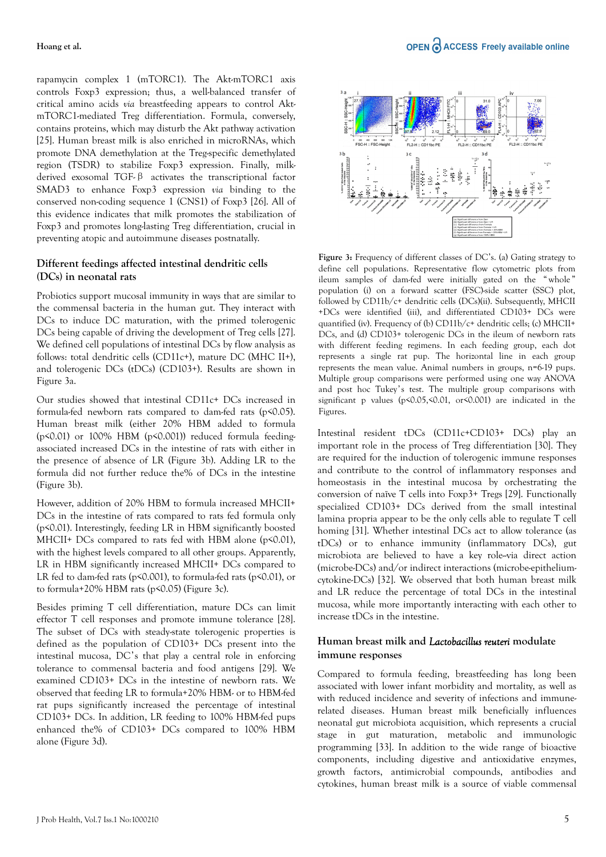rapamycin complex 1 (mTORC1). The Akt-mTORC1 axis controls Foxp3 expression; thus, a well-balanced transfer of critical amino acids *via* breastfeeding appears to control AktmTORC1-mediated Treg differentiation. Formula, conversely, contains proteins, which may disturb the Akt pathway activation [25]. Human breast milk is also enriched in microRNAs, which promote DNA demethylation at the Treg-specific demethylated region (TSDR) to stabilize Foxp3 expression. Finally, milkderived exosomal TGF-β activates the transcriptional factor SMAD3 to enhance Foxp3 expression *via* binding to the conserved non-coding sequence 1 (CNS1) of Foxp3 [26]. All of this evidence indicates that milk promotes the stabilization of Foxp3 and promotes long-lasting Treg differentiation, crucial in preventing atopic and autoimmune diseases postnatally.

## **Different feedings affected intestinal dendritic cells (DCs) in neonatal rats**

Probiotics support mucosal immunity in ways that are similar to the commensal bacteria in the human gut. They interact with DCs to induce DC maturation, with the primed tolerogenic DCs being capable of driving the development of Treg cells [27]. We defined cell populations of intestinal DCs by flow analysis as follows: total dendritic cells (CD11c+), mature DC (MHC II+), and tolerogenic DCs (tDCs) (CD103+). Results are shown in Figure 3a.

Our studies showed that intestinal CD11c+ DCs increased in formula-fed newborn rats compared to dam-fed rats (p<0.05). Human breast milk (either 20% HBM added to formula ( $p$ <0.01) or 100% HBM ( $p$ <0.001)) reduced formula feedingassociated increased DCs in the intestine of rats with either in the presence of absence of LR (Figure 3b). Adding LR to the formula did not further reduce the% of DCs in the intestine (Figure 3b).

However, addition of 20% HBM to formula increased MHCII+ DCs in the intestine of rats compared to rats fed formula only (p<0.01). Interestingly, feeding LR in HBM significantly boosted MHCII+ DCs compared to rats fed with HBM alone (p<0.01), with the highest levels compared to all other groups. Apparently, LR in HBM significantly increased MHCII+ DCs compared to LR fed to dam-fed rats (p<0.001), to formula-fed rats (p<0.01), or to formula+20% HBM rats ( $p \le 0.05$ ) (Figure 3c).

Besides priming T cell differentiation, mature DCs can limit effector T cell responses and promote immune tolerance [28]. The subset of DCs with steady-state tolerogenic properties is defined as the population of CD103+ DCs present into the intestinal mucosa, DC's that play a central role in enforcing tolerance to commensal bacteria and food antigens [29]. We examined CD103+ DCs in the intestine of newborn rats. We observed that feeding LR to formula+20% HBM- or to HBM-fed rat pups significantly increased the percentage of intestinal CD103+ DCs. In addition, LR feeding to 100% HBM-fed pups enhanced the% of CD103+ DCs compared to 100% HBM alone (Figure 3d).



**Figure 3:** Frequency of different classes of DC's. (a) Gating strategy to define cell populations. Representative flow cytometric plots from ileum samples of dam-fed were initially gated on the " whole " population (i) on a forward scatter (FSC)-side scatter (SSC) plot, followed by CD11b/c+ dendritic cells (DCs)(ii). Subsequently, MHCII +DCs were identified (iii), and differentiated CD103+ DCs were quantified (iv). Frequency of (b) CD11b/c+ dendritic cells; (c) MHCII+ DCs, and (d) CD103+ tolerogenic DCs in the ileum of newborn rats with different feeding regimens. In each feeding group, each dot represents a single rat pup. The horizontal line in each group represents the mean value. Animal numbers in groups, n=6-19 pups. Multiple group comparisons were performed using one way ANOVA and post hoc Tukey's test. The multiple group comparisons with significant p values (p<0.05,<0.01, or<0.001) are indicated in the Figures.

Intestinal resident tDCs (CD11c+CD103+ DCs) play an important role in the process of Treg differentiation [30]. They are required for the induction of tolerogenic immune responses and contribute to the control of inflammatory responses and homeostasis in the intestinal mucosa by orchestrating the conversion of naïve T cells into Foxp3+ Tregs [29]. Functionally specialized CD103+ DCs derived from the small intestinal lamina propria appear to be the only cells able to regulate T cell homing [31]. Whether intestinal DCs act to allow tolerance (as tDCs) or to enhance immunity (inflammatory DCs), gut microbiota are believed to have a key role-via direct action (microbe-DCs) and/or indirect interactions (microbe-epitheliumcytokine-DCs) [32]. We observed that both human breast milk and LR reduce the percentage of total DCs in the intestinal mucosa, while more importantly interacting with each other to increase tDCs in the intestine.

### **Human breast milk and** *Lactobacillus reuteri* **modulate immune responses**

Compared to formula feeding, breastfeeding has long been associated with lower infant morbidity and mortality, as well as with reduced incidence and severity of infections and immunerelated diseases. Human breast milk beneficially influences neonatal gut microbiota acquisition, which represents a crucial stage in gut maturation, metabolic and immunologic programming [33]. In addition to the wide range of bioactive components, including digestive and antioxidative enzymes, growth factors, antimicrobial compounds, antibodies and cytokines, human breast milk is a source of viable commensal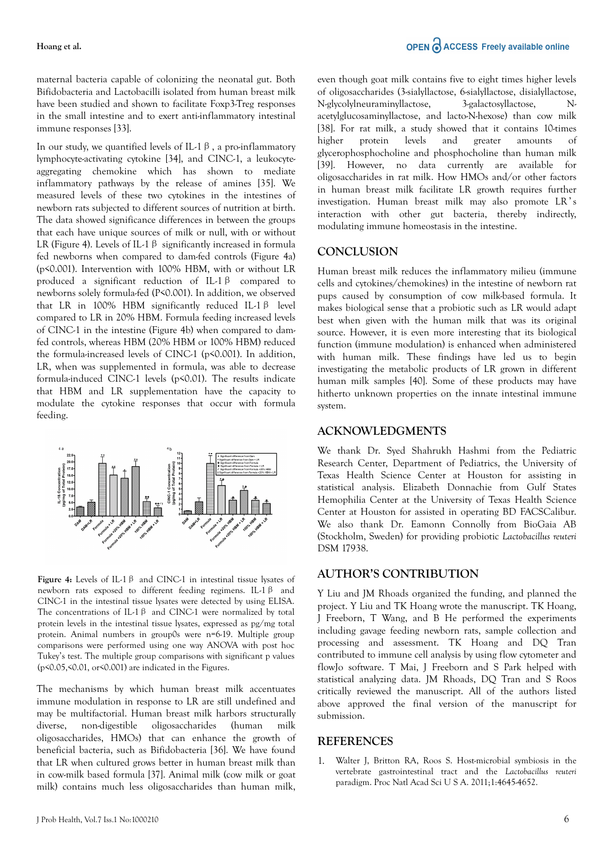maternal bacteria capable of colonizing the neonatal gut. Both Bifidobacteria and Lactobacilli isolated from human breast milk have been studied and shown to facilitate Foxp3-Treg responses in the small intestine and to exert anti-inflammatory intestinal immune responses [33].

In our study, we quantified levels of IL-1 $\beta$ , a pro-inflammatory lymphocyte-activating cytokine [34], and CINC-1, a leukocyteaggregating chemokine which has shown to mediate inflammatory pathways by the release of amines [35]. We measured levels of these two cytokines in the intestines of newborn rats subjected to different sources of nutrition at birth. The data showed significance differences in between the groups that each have unique sources of milk or null, with or without LR (Figure 4). Levels of IL-1  $\beta$  significantly increased in formula fed newborns when compared to dam-fed controls (Figure 4a) (p<0.001). Intervention with 100% HBM, with or without LR produced a significant reduction of IL-1β compared to newborns solely formula-fed (P<0.001). In addition, we observed that LR in 100% HBM significantly reduced IL-1β level compared to LR in 20% HBM. Formula feeding increased levels of CINC-1 in the intestine (Figure 4b) when compared to damfed controls, whereas HBM (20% HBM or 100% HBM) reduced the formula-increased levels of CINC-1 (p<0.001). In addition, LR, when was supplemented in formula, was able to decrease formula-induced CINC-1 levels (p<0.01). The results indicate that HBM and LR supplementation have the capacity to modulate the cytokine responses that occur with formula feeding.



**Figure 4:** Levels of IL-1β and CINC-1 in intestinal tissue lysates of newborn rats exposed to different feeding regimens. IL-1β and CINC-1 in the intestinal tissue lysates were detected by using ELISA. The concentrations of IL-1 $\beta$  and CINC-1 were normalized by total protein levels in the intestinal tissue lysates, expressed as pg/mg total protein. Animal numbers in group0s were n=6-19. Multiple group comparisons were performed using one way ANOVA with post hoc Tukey's test. The multiple group comparisons with significant p values (p<0.05,<0.01, or<0.001) are indicated in the Figures.

The mechanisms by which human breast milk accentuates immune modulation in response to LR are still undefined and may be multifactorial. Human breast milk harbors structurally diverse, non-digestible oligosaccharides (human milk oligosaccharides, HMOs) that can enhance the growth of beneficial bacteria, such as Bifidobacteria [36]. We have found that LR when cultured grows better in human breast milk than in cow-milk based formula [37]. Animal milk (cow milk or goat milk) contains much less oligosaccharides than human milk, even though goat milk contains five to eight times higher levels of oligosaccharides (3-sialyllactose, 6-sialyllactose, disialyllactose, N-glycolylneuraminyllactose, 3-galactosyllactose, Nacetylglucosaminyllactose, and lacto-N-hexose) than cow milk [38]. For rat milk, a study showed that it contains 10-times higher protein levels and greater amounts of glycerophosphocholine and phosphocholine than human milk [39]. However, no data currently are available for oligosaccharides in rat milk. How HMOs and/or other factors in human breast milk facilitate LR growth requires further investigation. Human breast milk may also promote LR' s interaction with other gut bacteria, thereby indirectly, modulating immune homeostasis in the intestine.

## **CONCLUSION**

Human breast milk reduces the inflammatory milieu (immune cells and cytokines/chemokines) in the intestine of newborn rat pups caused by consumption of cow milk-based formula. It makes biological sense that a probiotic such as LR would adapt best when given with the human milk that was its original source. However, it is even more interesting that its biological function (immune modulation) is enhanced when administered with human milk. These findings have led us to begin investigating the metabolic products of LR grown in different human milk samples [40]. Some of these products may have hitherto unknown properties on the innate intestinal immune system.

## **ACKNOWLEDGMENTS**

We thank Dr. Syed Shahrukh Hashmi from the Pediatric Research Center, Department of Pediatrics, the University of Texas Health Science Center at Houston for assisting in statistical analysis. Elizabeth Donnachie from Gulf States Hemophilia Center at the University of Texas Health Science Center at Houston for assisted in operating BD FACSCalibur. We also thank Dr. Eamonn Connolly from BioGaia AB (Stockholm, Sweden) for providing probiotic *Lactobacillus reuteri* DSM 17938.

## **AUTHOR'S CONTRIBUTION**

Y Liu and JM Rhoads organized the funding, and planned the project. Y Liu and TK Hoang wrote the manuscript. TK Hoang, J Freeborn, T Wang, and B He performed the experiments including gavage feeding newborn rats, sample collection and processing and assessment. TK Hoang and DQ Tran contributed to immune cell analysis by using flow cytometer and flowJo software. T Mai, J Freeborn and S Park helped with statistical analyzing data. JM Rhoads, DQ Tran and S Roos critically reviewed the manuscript. All of the authors listed above approved the final version of the manuscript for submission.

## **REFERENCES**

1. Walter J, Britton RA, Roos S. Host-microbial symbiosis in the vertebrate gastrointestinal tract and the *Lactobacillus reuteri* paradigm. Proc Natl Acad Sci U S A. 2011;1:4645-4652.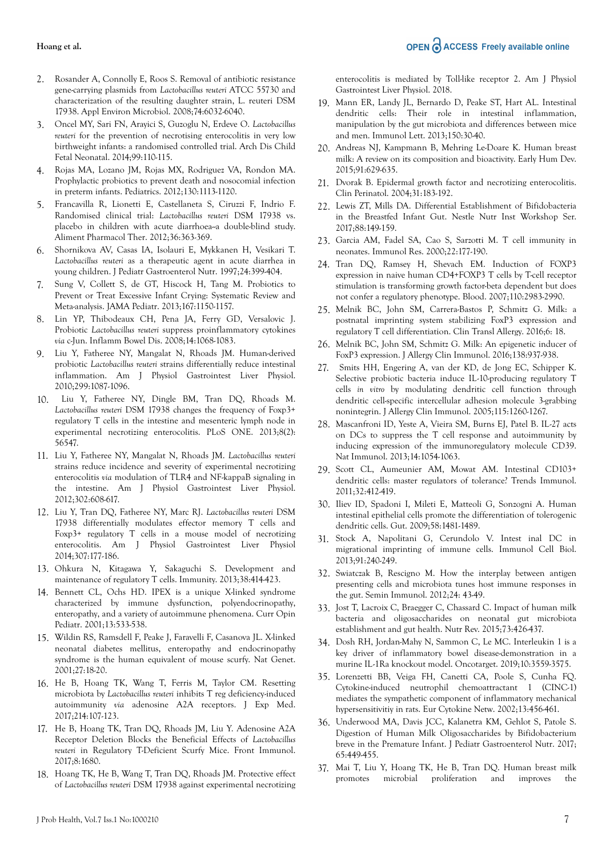- 2. Rosander A, Connolly E, Roos S. Removal of antibiotic resistance gene-carrying plasmids from *Lactobacillus reuteri* ATCC 55730 and characterization of the resulting daughter strain, L. reuteri DSM 17938. Appl Environ Microbiol. 2008;74:6032-6040.
- 3. Oncel MY, Sari FN, Arayici S, Guzoglu N, Erdeve O. *Lactobacillus reuteri* for the prevention of necrotising enterocolitis in very low birthweight infants: a randomised controlled trial. Arch Dis Child Fetal Neonatal. 2014;99:110-115.
- 4. Rojas MA, Lozano JM, Rojas MX, Rodriguez VA, Rondon MA. Prophylactic probiotics to prevent death and nosocomial infection in preterm infants. Pediatrics. 2012;130:1113-1120.
- 5. Francavilla R, Lionetti E, Castellaneta S, Ciruzzi F, Indrio F. Randomised clinical trial: *Lactobacillus reuteri* DSM 17938 vs. placebo in children with acute diarrhoea--a double-blind study. Aliment Pharmacol Ther. 2012;36:363-369.
- 6. Shornikova AV, Casas IA, Isolauri E, Mykkanen H, Vesikari T. *Lactobacillus reuteri* as a therapeutic agent in acute diarrhea in young children. J Pediatr Gastroenterol Nutr. 1997;24:399-404.
- 7. Sung V, Collett S, de GT, Hiscock H, Tang M. Probiotics to Prevent or Treat Excessive Infant Crying: Systematic Review and Meta-analysis. JAMA Pediatr. 2013;167:1150-1157.
- 8. Lin YP, Thibodeaux CH, Pena JA, Ferry GD, Versalovic J. Probiotic *Lactobacillus reuteri* suppress proinflammatory cytokines *via* c-Jun. Inflamm Bowel Dis. 2008;14:1068-1083.
- 9. Liu Y, Fatheree NY, Mangalat N, Rhoads JM. Human-derived probiotic *Lactobacillus reuteri* strains differentially reduce intestinal inflammation. Am J Physiol Gastrointest Liver Physiol. 2010;299:1087-1096.
- 10. Liu Y, Fatheree NY, Dingle BM, Tran DQ, Rhoads M. *Lactobacillus reuteri* DSM 17938 changes the frequency of Foxp3+ regulatory T cells in the intestine and mesenteric lymph node in experimental necrotizing enterocolitis. PLoS ONE. 2013;8(2): 56547.
- 11. Liu Y, Fatheree NY, Mangalat N, Rhoads JM. *Lactobacillus reuteri* strains reduce incidence and severity of experimental necrotizing enterocolitis *via* modulation of TLR4 and NF-kappaB signaling in the intestine. Am J Physiol Gastrointest Liver Physiol. 2012;302:608-617.
- 12. Liu Y, Tran DQ, Fatheree NY, Marc RJ. *Lactobacillus reuteri* DSM 17938 differentially modulates effector memory T cells and Foxp3+ regulatory T cells in a mouse model of necrotizing enterocolitis. Am J Physiol Gastrointest Liver Physiol 2014;307:177-186.
- 13. Ohkura N, Kitagawa Y, Sakaguchi S. Development and maintenance of regulatory T cells. Immunity. 2013;38:414-423.
- 14. Bennett CL, Ochs HD. IPEX is a unique X-linked syndrome characterized by immune dysfunction, polyendocrinopathy, enteropathy, and a variety of autoimmune phenomena. Curr Opin Pediatr. 2001;13:533-538.
- 15. Wildin RS, Ramsdell F, Peake J, Faravelli F, Casanova JL. X-linked neonatal diabetes mellitus, enteropathy and endocrinopathy syndrome is the human equivalent of mouse scurfy. Nat Genet. 2001;27:18-20.
- 16. He B, Hoang TK, Wang T, Ferris M, Taylor CM. Resetting microbiota by *Lactobacillus reuteri* inhibits T reg deficiency-induced autoimmunity *via* adenosine A2A receptors. J Exp Med. 2017;214:107-123.
- 17. He B, Hoang TK, Tran DQ, Rhoads JM, Liu Y. Adenosine A2A Receptor Deletion Blocks the Beneficial Effects of *Lactobacillus reuteri* in Regulatory T-Deficient Scurfy Mice. Front Immunol. 2017;8:1680.
- 18. Hoang TK, He B, Wang T, Tran DQ, Rhoads JM. Protective effect of *Lactobacillus reuteri* DSM 17938 against experimental necrotizing

enterocolitis is mediated by Toll-like receptor 2. Am J Physiol Gastrointest Liver Physiol. 2018.

- 19. Mann ER, Landy JL, Bernardo D, Peake ST, Hart AL. Intestinal dendritic cells: Their role in intestinal inflammation, manipulation by the gut microbiota and differences between mice and men. Immunol Lett. 2013;150:30-40.
- 20. Andreas NJ, Kampmann B, Mehring Le-Doare K. Human breast milk: A review on its composition and bioactivity. Early Hum Dev. 2015;91:629-635.
- 21. Dvorak B. Epidermal growth factor and necrotizing enterocolitis. Clin Perinatol. 2004;31:183-192.
- 22. Lewis ZT, Mills DA. Differential Establishment of Bifidobacteria in the Breastfed Infant Gut. Nestle Nutr Inst Workshop Ser. 2017;88:149-159.
- 23. Garcia AM, Fadel SA, Cao S, Sarzotti M. T cell immunity in neonates. Immunol Res. 2000;22:177-190.
- 24. Tran DQ, Ramsey H, Shevach EM. Induction of FOXP3 expression in naive human CD4+FOXP3 T cells by T-cell receptor stimulation is transforming growth factor-beta dependent but does not confer a regulatory phenotype. Blood. 2007;110:2983-2990.
- 25. Melnik BC, John SM, Carrera-Bastos P, Schmitz G. Milk: a postnatal imprinting system stabilizing FoxP3 expression and regulatory T cell differentiation. Clin Transl Allergy. 2016;6: 18.
- 26. Melnik BC, John SM, Schmitz G. Milk: An epigenetic inducer of FoxP3 expression. J Allergy Clin Immunol. 2016;138:937-938.
- 27. Smits HH, Engering A, van der KD, de Jong EC, Schipper K. Selective probiotic bacteria induce IL-10-producing regulatory T cells *in vitro* by modulating dendritic cell function through dendritic cell-specific intercellular adhesion molecule 3-grabbing nonintegrin. J Allergy Clin Immunol. 2005;115:1260-1267.
- 28. Mascanfroni ID, Yeste A, Vieira SM, Burns EJ, Patel B. IL-27 acts on DCs to suppress the T cell response and autoimmunity by inducing expression of the immunoregulatory molecule CD39. Nat Immunol. 2013;14:1054-1063.
- 29. Scott CL, Aumeunier AM, Mowat AM. Intestinal CD103+ dendritic cells: master regulators of tolerance? Trends Immunol. 2011;32:412-419.
- 30. Iliev ID, Spadoni I, Mileti E, Matteoli G, Sonzogni A. Human intestinal epithelial cells promote the differentiation of tolerogenic dendritic cells. Gut. 2009;58:1481-1489.
- 31. Stock A, Napolitani G, Cerundolo V. Intest inal DC in migrational imprinting of immune cells. Immunol Cell Biol. 2013;91:240-249.
- 32. Swiatczak B, Rescigno M. How the interplay between antigen presenting cells and microbiota tunes host immune responses in the gut. Semin Immunol. 2012;24: 43-49.
- 33. Jost T, Lacroix C, Braegger C, Chassard C. Impact of human milk bacteria and oligosaccharides on neonatal gut microbiota establishment and gut health. Nutr Rev. 2015;73:426-437.
- 34. Dosh RH, Jordan-Mahy N, Sammon C, Le MC. Interleukin 1 is a key driver of inflammatory bowel disease-demonstration in a murine IL-1Ra knockout model. Oncotarget. 2019;10:3559-3575.
- 35. Lorenzetti BB, Veiga FH, Canetti CA, Poole S, Cunha FQ. Cytokine-induced neutrophil chemoattractant 1 (CINC-1) mediates the sympathetic component of inflammatory mechanical hypersensitivitiy in rats. Eur Cytokine Netw. 2002;13:456-461.
- 36. Underwood MA, Davis JCC, Kalanetra KM, Gehlot S, Patole S. Digestion of Human Milk Oligosaccharides by Bifidobacterium breve in the Premature Infant. J Pediatr Gastroenterol Nutr. 2017; 65:449-455.
- 37. Mai T, Liu Y, Hoang TK, He B, Tran DQ. Human breast milk promotes microbial proliferation and improves the